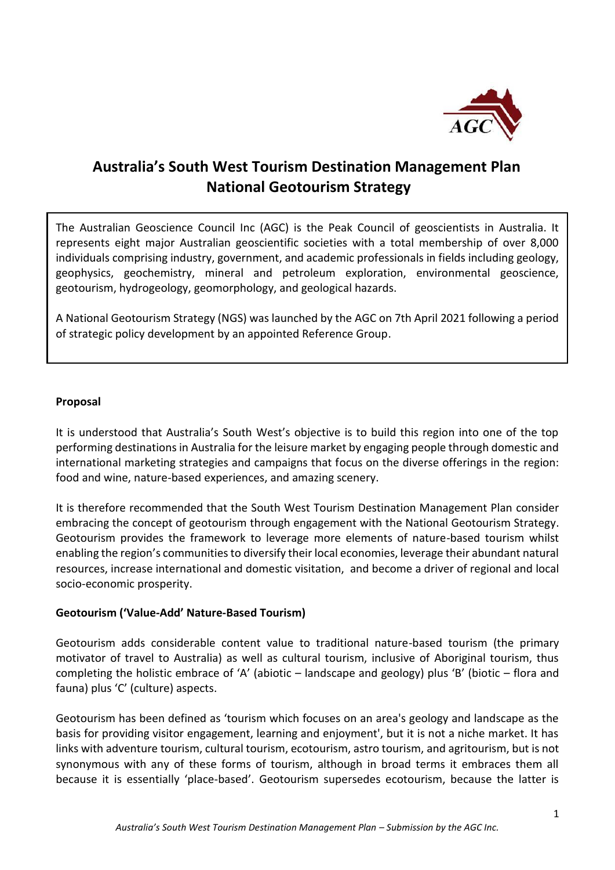

# **Australia's South West Tourism Destination Management Plan National Geotourism Strategy**

The Australian Geoscience Council Inc (AGC) is the Peak Council of geoscientists in Australia. It represents eight major Australian geoscientific societies with a total membership of over 8,000 individuals comprising industry, government, and academic professionals in fields including geology, geophysics, geochemistry, mineral and petroleum exploration, environmental geoscience, geotourism, hydrogeology, geomorphology, and geological hazards.

A National Geotourism Strategy (NGS) was launched by the AGC on 7th April 2021 following a period of strategic policy development by an appointed Reference Group.

#### **Proposal**

It is understood that Australia's South West's objective is to build this region into one of the top performing destinations in Australia for the leisure market by engaging people through domestic and international marketing strategies and campaigns that focus on the diverse offerings in the region: food and wine, nature-based experiences, and amazing scenery.

It is therefore recommended that the South West Tourism Destination Management Plan consider embracing the concept of geotourism through engagement with the National Geotourism Strategy. Geotourism provides the framework to leverage more elements of nature-based tourism whilst enabling the region's communities to diversify their local economies, leverage their abundant natural resources, increase international and domestic visitation, and become a driver of regional and local socio-economic prosperity.

#### **Geotourism ('Value-Add' Nature-Based Tourism)**

Geotourism adds considerable content value to traditional nature-based tourism (the primary motivator of travel to Australia) as well as cultural tourism, inclusive of Aboriginal tourism, thus completing the holistic embrace of 'A' (abiotic – landscape and geology) plus 'B' (biotic – flora and fauna) plus 'C' (culture) aspects.

Geotourism has been defined as 'tourism which focuses on an area's geology and landscape as the basis for providing visitor engagement, learning and enjoyment', but it is not a niche market. It has links with adventure tourism, cultural tourism, ecotourism, astro tourism, and agritourism, but is not synonymous with any of these forms of tourism, although in broad terms it embraces them all because it is essentially 'place-based'. Geotourism supersedes ecotourism, because the latter is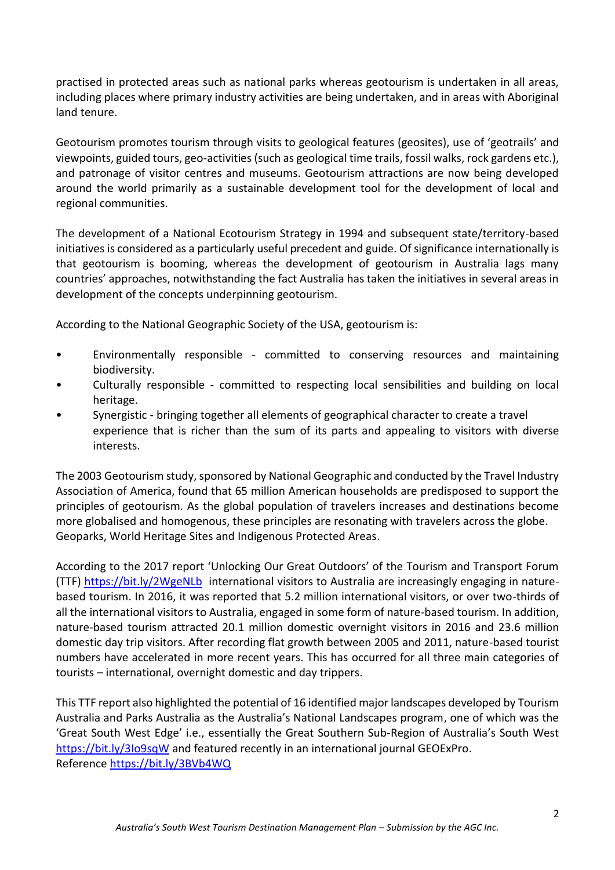practised in protected areas such as national parks whereas geotourism is undertaken in all areas, including places where primary industry activities are being undertaken, and in areas with Aboriginal land tenure.

Geotourism promotes tourism through visits to geological features (geosites), use of 'geotrails' and viewpoints, guided tours, geo-activities (such as geological time trails, fossil walks, rock gardens etc.), and patronage of visitor centres and museums. Geotourism attractions are now being developed around the world primarily as a sustainable development tool for the development of local and regional communities.

The development of a National Ecotourism Strategy in 1994 and subsequent state/territory-based initiatives is considered as a particularly useful precedent and guide. Of significance internationally is that geotourism is booming, whereas the development of geotourism in Australia lags many countries' approaches, notwithstanding the fact Australia has taken the initiatives in several areas in development of the concepts underpinning geotourism.

According to the National Geographic Society of the USA, geotourism is:

- Environmentally responsible committed to conserving resources and maintaining biodiversity.
- Culturally responsible committed to respecting local sensibilities and building on local heritage.
- Synergistic bringing together all elements of geographical character to create a travel experience that is richer than the sum of its parts and appealing to visitors with diverse interests.

The 2003 Geotourism study, sponsored by National Geographic and conducted by the Travel Industry Association of America, found that 65 million American households are predisposed to support the principles of geotourism. As the global population of travelers increases and destinations become more globalised and homogenous, these principles are resonating with travelers across the globe. Geoparks, World Heritage Sites and Indigenous Protected Areas.

According to the 2017 report 'Unlocking Our Great Outdoors' of the Tourism and Transport Forum (TTF)<https://bit.ly/2WgeNLb> international visitors to Australia are increasingly engaging in naturebased tourism. In 2016, it was reported that 5.2 million international visitors, or over two-thirds of all the international visitors to Australia, engaged in some form of nature-based tourism. In addition, nature-based tourism attracted 20.1 million domestic overnight visitors in 2016 and 23.6 million domestic day trip visitors. After recording flat growth between 2005 and 2011, nature-based tourist numbers have accelerated in more recent years. This has occurred for all three main categories of tourists – international, overnight domestic and day trippers.

This TTF report also highlighted the potential of 16 identified major landscapes developed by Tourism Australia and Parks Australia as the Australia's National Landscapes program, one of which was the 'Great South West Edge' i.e., essentially the Great Southern Sub-Region of Australia's South West <https://bit.ly/3Io9sqW> and featured recently in an international journal GEOExPro. Reference<https://bit.ly/3BVb4WQ>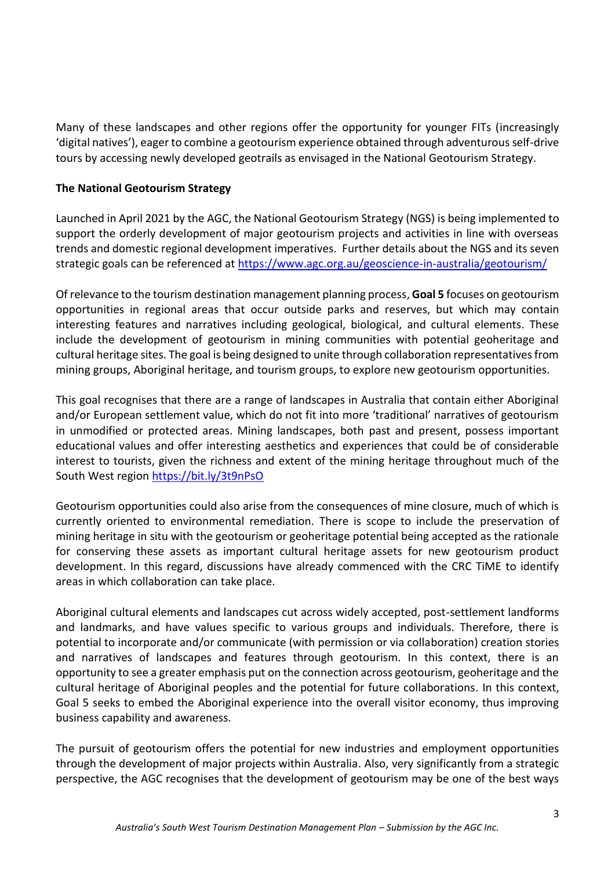Many of these landscapes and other regions offer the opportunity for younger FITs (increasingly 'digital natives'), eager to combine a geotourism experience obtained through adventurous self-drive tours by accessing newly developed geotrails as envisaged in the National Geotourism Strategy.

### **The National Geotourism Strategy**

Launched in April 2021 by the AGC, the National Geotourism Strategy (NGS) is being implemented to support the orderly development of major geotourism projects and activities in line with overseas trends and domestic regional development imperatives. Further details about the NGS and its seven strategic goals can be referenced at<https://www.agc.org.au/geoscience-in-australia/geotourism/>

Of relevance to the tourism destination management planning process, **Goal 5** focuses on geotourism opportunities in regional areas that occur outside parks and reserves, but which may contain interesting features and narratives including geological, biological, and cultural elements. These include the development of geotourism in mining communities with potential geoheritage and cultural heritage sites. The goal is being designed to unite through collaboration representatives from mining groups, Aboriginal heritage, and tourism groups, to explore new geotourism opportunities.

This goal recognises that there are a range of landscapes in Australia that contain either Aboriginal and/or European settlement value, which do not fit into more 'traditional' narratives of geotourism in unmodified or protected areas. Mining landscapes, both past and present, possess important educational values and offer interesting aesthetics and experiences that could be of considerable interest to tourists, given the richness and extent of the mining heritage throughout much of the South West region<https://bit.ly/3t9nPsO>

Geotourism opportunities could also arise from the consequences of mine closure, much of which is currently oriented to environmental remediation. There is scope to include the preservation of mining heritage in situ with the geotourism or geoheritage potential being accepted as the rationale for conserving these assets as important cultural heritage assets for new geotourism product development. In this regard, discussions have already commenced with the CRC TiME to identify areas in which collaboration can take place.

Aboriginal cultural elements and landscapes cut across widely accepted, post-settlement landforms and landmarks, and have values specific to various groups and individuals. Therefore, there is potential to incorporate and/or communicate (with permission or via collaboration) creation stories and narratives of landscapes and features through geotourism. In this context, there is an opportunity to see a greater emphasis put on the connection across geotourism, geoheritage and the cultural heritage of Aboriginal peoples and the potential for future collaborations. In this context, Goal 5 seeks to embed the Aboriginal experience into the overall visitor economy, thus improving business capability and awareness.

The pursuit of geotourism offers the potential for new industries and employment opportunities through the development of major projects within Australia. Also, very significantly from a strategic perspective, the AGC recognises that the development of geotourism may be one of the best ways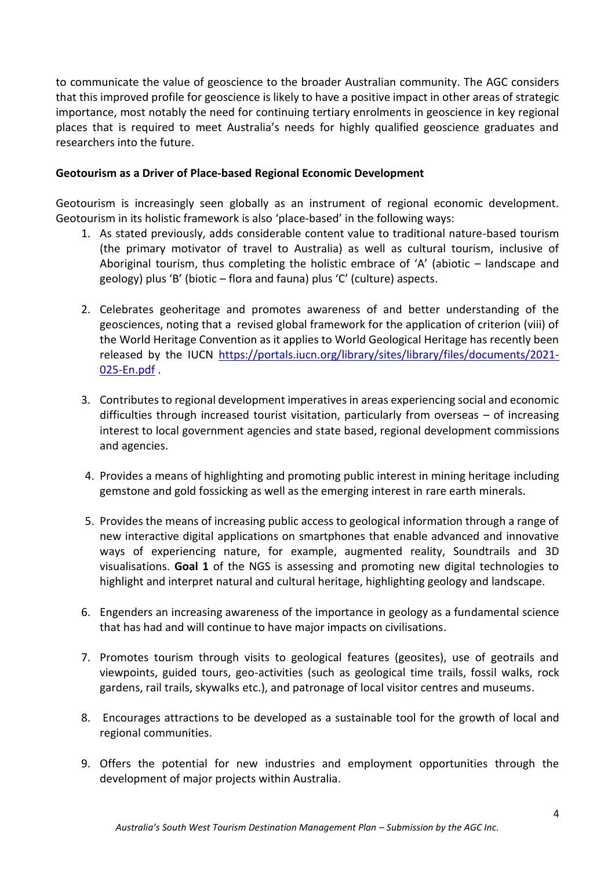to communicate the value of geoscience to the broader Australian community. The AGC considers that this improved profile for geoscience is likely to have a positive impact in other areas of strategic importance, most notably the need for continuing tertiary enrolments in geoscience in key regional places that is required to meet Australia's needs for highly qualified geoscience graduates and researchers into the future.

#### **Geotourism as a Driver of Place-based Regional Economic Development**

Geotourism is increasingly seen globally as an instrument of regional economic development. Geotourism in its holistic framework is also 'place-based' in the following ways:

- 1. As stated previously, adds considerable content value to traditional nature-based tourism (the primary motivator of travel to Australia) as well as cultural tourism, inclusive of Aboriginal tourism, thus completing the holistic embrace of 'A' (abiotic – landscape and geology) plus 'B' (biotic – flora and fauna) plus 'C' (culture) aspects.
- 2. Celebrates geoheritage and promotes awareness of and better understanding of the geosciences, noting that a revised global framework for the application of criterion (viii) of the World Heritage Convention as it applies to World Geological Heritage has recently been released by the IUCN [https://portals.iucn.org/library/sites/library/files/documents/2021-](https://portals.iucn.org/library/sites/library/files/documents/2021-025-En.pdf) [025-En.pdf](https://portals.iucn.org/library/sites/library/files/documents/2021-025-En.pdf) .
- 3. Contributes to regional development imperatives in areas experiencing social and economic difficulties through increased tourist visitation, particularly from overseas – of increasing interest to local government agencies and state based, regional development commissions and agencies.
- 4. Provides a means of highlighting and promoting public interest in mining heritage including gemstone and gold fossicking as well as the emerging interest in rare earth minerals.
- 5. Provides the means of increasing public access to geological information through a range of new interactive digital applications on smartphones that enable advanced and innovative ways of experiencing nature, for example, augmented reality, Soundtrails and 3D visualisations. **Goal 1** of the NGS is assessing and promoting new digital technologies to highlight and interpret natural and cultural heritage, highlighting geology and landscape.
- 6. Engenders an increasing awareness of the importance in geology as a fundamental science that has had and will continue to have major impacts on civilisations.
- 7. Promotes tourism through visits to geological features (geosites), use of geotrails and viewpoints, guided tours, geo-activities (such as geological time trails, fossil walks, rock gardens, rail trails, skywalks etc.), and patronage of local visitor centres and museums.
- 8. Encourages attractions to be developed as a sustainable tool for the growth of local and regional communities.
- 9. Offers the potential for new industries and employment opportunities through the development of major projects within Australia.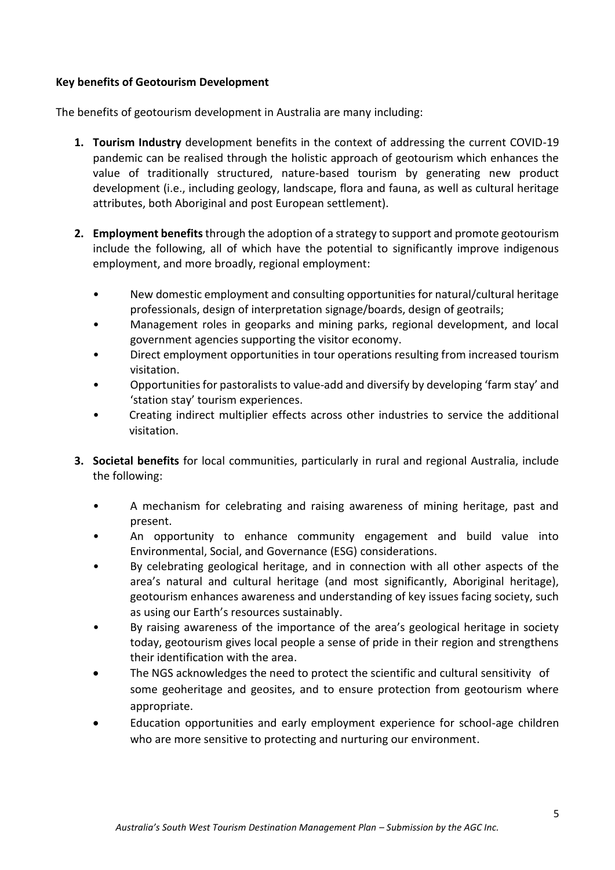# **Key benefits of Geotourism Development**

The benefits of geotourism development in Australia are many including:

- **1. Tourism Industry** development benefits in the context of addressing the current COVID-19 pandemic can be realised through the holistic approach of geotourism which enhances the value of traditionally structured, nature-based tourism by generating new product development (i.e., including geology, landscape, flora and fauna, as well as cultural heritage attributes, both Aboriginal and post European settlement).
- **2. Employment benefits**through the adoption of a strategy to support and promote geotourism include the following, all of which have the potential to significantly improve indigenous employment, and more broadly, regional employment:
	- New domestic employment and consulting opportunities for natural/cultural heritage professionals, design of interpretation signage/boards, design of geotrails;
	- Management roles in geoparks and mining parks, regional development, and local government agencies supporting the visitor economy.
	- Direct employment opportunities in tour operations resulting from increased tourism visitation.
	- Opportunities for pastoralists to value-add and diversify by developing 'farm stay' and 'station stay' tourism experiences.
	- Creating indirect multiplier effects across other industries to service the additional visitation.
- **3. Societal benefits** for local communities, particularly in rural and regional Australia, include the following:
	- A mechanism for celebrating and raising awareness of mining heritage, past and present.
	- An opportunity to enhance community engagement and build value into Environmental, Social, and Governance (ESG) considerations.
	- By celebrating geological heritage, and in connection with all other aspects of the area's natural and cultural heritage (and most significantly, Aboriginal heritage), geotourism enhances awareness and understanding of key issues facing society, such as using our Earth's resources sustainably.
	- By raising awareness of the importance of the area's geological heritage in society today, geotourism gives local people a sense of pride in their region and strengthens their identification with the area.
	- The NGS acknowledges the need to protect the scientific and cultural sensitivity of some geoheritage and geosites, and to ensure protection from geotourism where appropriate.
	- Education opportunities and early employment experience for school-age children who are more sensitive to protecting and nurturing our environment.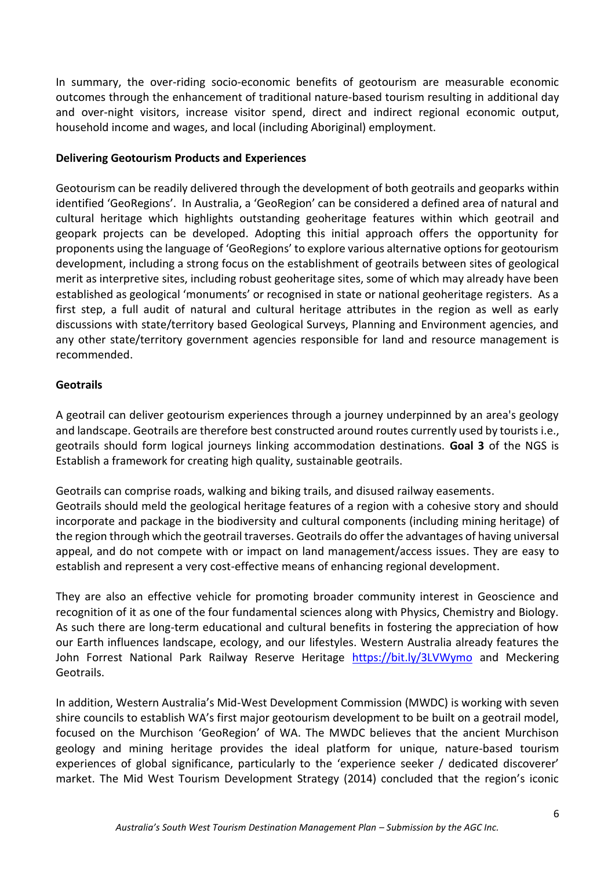In summary, the over-riding socio-economic benefits of geotourism are measurable economic outcomes through the enhancement of traditional nature-based tourism resulting in additional day and over-night visitors, increase visitor spend, direct and indirect regional economic output, household income and wages, and local (including Aboriginal) employment.

# **Delivering Geotourism Products and Experiences**

Geotourism can be readily delivered through the development of both geotrails and geoparks within identified 'GeoRegions'. In Australia, a 'GeoRegion' can be considered a defined area of natural and cultural heritage which highlights outstanding geoheritage features within which geotrail and geopark projects can be developed. Adopting this initial approach offers the opportunity for proponents using the language of 'GeoRegions' to explore various alternative options for geotourism development, including a strong focus on the establishment of geotrails between sites of geological merit as interpretive sites, including robust geoheritage sites, some of which may already have been established as geological 'monuments' or recognised in state or national geoheritage registers. As a first step, a full audit of natural and cultural heritage attributes in the region as well as early discussions with state/territory based Geological Surveys, Planning and Environment agencies, and any other state/territory government agencies responsible for land and resource management is recommended.

### **Geotrails**

A geotrail can deliver geotourism experiences through a journey underpinned by an area's geology and landscape. Geotrails are therefore best constructed around routes currently used by tourists i.e., geotrails should form logical journeys linking accommodation destinations. **Goal 3** of the NGS is Establish a framework for creating high quality, sustainable geotrails.

Geotrails can comprise roads, walking and biking trails, and disused railway easements. Geotrails should meld the geological heritage features of a region with a cohesive story and should incorporate and package in the biodiversity and cultural components (including mining heritage) of the region through which the geotrail traverses. Geotrails do offer the advantages of having universal appeal, and do not compete with or impact on land management/access issues. They are easy to establish and represent a very cost-effective means of enhancing regional development.

They are also an effective vehicle for promoting broader community interest in Geoscience and recognition of it as one of the four fundamental sciences along with Physics, Chemistry and Biology. As such there are long-term educational and cultural benefits in fostering the appreciation of how our Earth influences landscape, ecology, and our lifestyles. Western Australia already features the John Forrest National Park Railway Reserve Heritage <https://bit.ly/3LVWymo> and Meckering Geotrails.

In addition, Western Australia's Mid-West Development Commission (MWDC) is working with seven shire councils to establish WA's first major geotourism development to be built on a geotrail model, focused on the Murchison 'GeoRegion' of WA. The MWDC believes that the ancient Murchison geology and mining heritage provides the ideal platform for unique, nature-based tourism experiences of global significance, particularly to the 'experience seeker / dedicated discoverer' market. The Mid West Tourism Development Strategy (2014) concluded that the region's iconic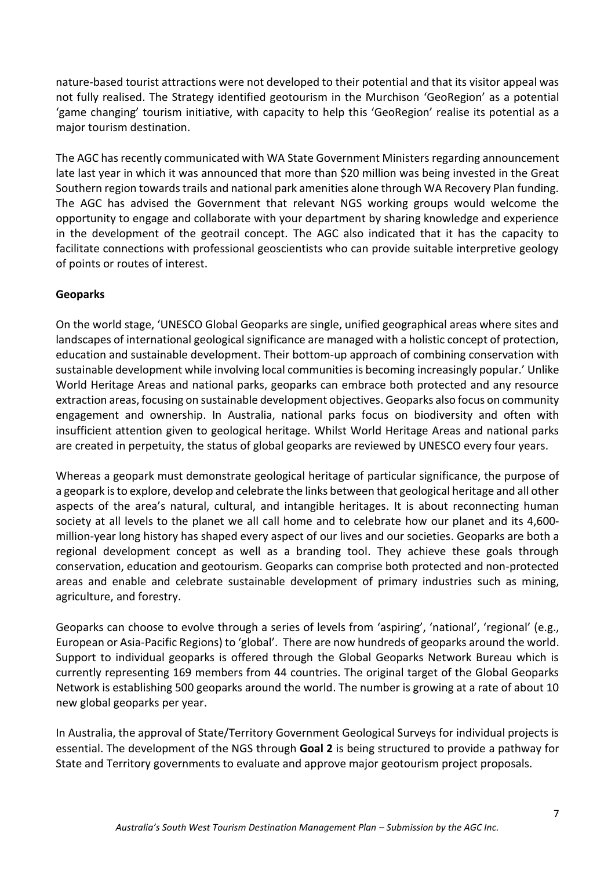nature-based tourist attractions were not developed to their potential and that its visitor appeal was not fully realised. The Strategy identified geotourism in the Murchison 'GeoRegion' as a potential 'game changing' tourism initiative, with capacity to help this 'GeoRegion' realise its potential as a major tourism destination.

The AGC has recently communicated with WA State Government Ministers regarding announcement late last year in which it was announced that more than \$20 million was being invested in the Great Southern region towards trails and national park amenities alone through WA Recovery Plan funding. The AGC has advised the Government that relevant NGS working groups would welcome the opportunity to engage and collaborate with your department by sharing knowledge and experience in the development of the geotrail concept. The AGC also indicated that it has the capacity to facilitate connections with professional geoscientists who can provide suitable interpretive geology of points or routes of interest.

# **Geoparks**

On the world stage, 'UNESCO Global Geoparks are single, unified geographical areas where sites and landscapes of international geological significance are managed with a holistic concept of protection, education and sustainable development. Their bottom-up approach of combining conservation with sustainable development while involving local communities is becoming increasingly popular.' Unlike World Heritage Areas and national parks, geoparks can embrace both protected and any resource extraction areas, focusing on sustainable development objectives. Geoparks also focus on community engagement and ownership. In Australia, national parks focus on biodiversity and often with insufficient attention given to geological heritage. Whilst World Heritage Areas and national parks are created in perpetuity, the status of global geoparks are reviewed by UNESCO every four years.

Whereas a geopark must demonstrate geological heritage of particular significance, the purpose of a geopark is to explore, develop and celebrate the links between that geological heritage and all other aspects of the area's natural, cultural, and intangible heritages. It is about reconnecting human society at all levels to the planet we all call home and to celebrate how our planet and its 4,600 million-year long history has shaped every aspect of our lives and our societies. Geoparks are both a regional development concept as well as a branding tool. They achieve these goals through conservation, education and geotourism. Geoparks can comprise both protected and non-protected areas and enable and celebrate sustainable development of primary industries such as mining, agriculture, and forestry.

Geoparks can choose to evolve through a series of levels from 'aspiring', 'national', 'regional' (e.g., European or Asia-Pacific Regions) to 'global'. There are now hundreds of geoparks around the world. Support to individual geoparks is offered through the Global Geoparks Network Bureau which is currently representing 169 members from 44 countries. The original target of the Global Geoparks Network is establishing 500 geoparks around the world. The number is growing at a rate of about 10 new global geoparks per year.

In Australia, the approval of State/Territory Government Geological Surveys for individual projects is essential. The development of the NGS through **Goal 2** is being structured to provide a pathway for State and Territory governments to evaluate and approve major geotourism project proposals.